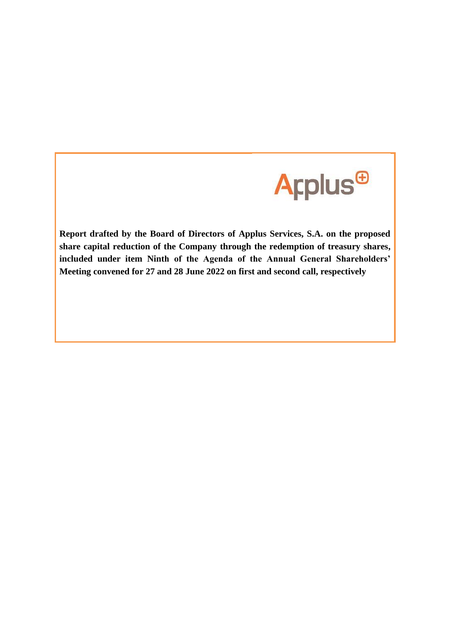

**Report drafted by the Board of Directors of Applus Services, S.A. on the proposed share capital reduction of the Company through the redemption of treasury shares, included under item Ninth of the Agenda of the Annual General Shareholders' Meeting convened for 27 and 28 June 2022 on first and second call, respectively**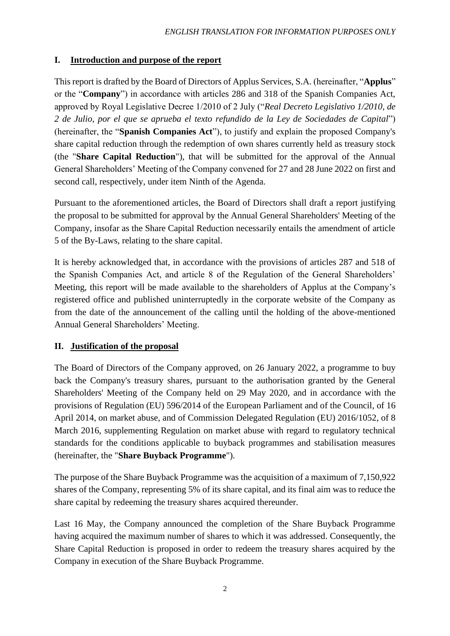# **I. Introduction and purpose of the report**

This report is drafted by the Board of Directors of Applus Services, S.A. (hereinafter, "**Applus**" or the "**Company**") in accordance with articles 286 and 318 of the Spanish Companies Act, approved by Royal Legislative Decree 1/2010 of 2 July ("*Real Decreto Legislativo 1/2010, de 2 de Julio, por el que se aprueba el texto refundido de la Ley de Sociedades de Capital*") (hereinafter, the "**Spanish Companies Act**"), to justify and explain the proposed Company's share capital reduction through the redemption of own shares currently held as treasury stock (the "**Share Capital Reduction**"), that will be submitted for the approval of the Annual General Shareholders' Meeting of the Company convened for 27 and 28 June 2022 on first and second call, respectively, under item Ninth of the Agenda.

Pursuant to the aforementioned articles, the Board of Directors shall draft a report justifying the proposal to be submitted for approval by the Annual General Shareholders' Meeting of the Company, insofar as the Share Capital Reduction necessarily entails the amendment of article 5 of the By-Laws, relating to the share capital.

It is hereby acknowledged that, in accordance with the provisions of articles 287 and 518 of the Spanish Companies Act, and article 8 of the Regulation of the General Shareholders' Meeting, this report will be made available to the shareholders of Applus at the Company's registered office and published uninterruptedly in the corporate website of the Company as from the date of the announcement of the calling until the holding of the above-mentioned Annual General Shareholders' Meeting.

# **II. Justification of the proposal**

The Board of Directors of the Company approved, on 26 January 2022, a programme to buy back the Company's treasury shares, pursuant to the authorisation granted by the General Shareholders' Meeting of the Company held on 29 May 2020, and in accordance with the provisions of Regulation (EU) 596/2014 of the European Parliament and of the Council, of 16 April 2014, on market abuse, and of Commission Delegated Regulation (EU) 2016/1052, of 8 March 2016, supplementing Regulation on market abuse with regard to regulatory technical standards for the conditions applicable to buyback programmes and stabilisation measures (hereinafter, the "**Share Buyback Programme**").

The purpose of the Share Buyback Programme was the acquisition of a maximum of 7,150,922 shares of the Company, representing 5% of its share capital, and its final aim was to reduce the share capital by redeeming the treasury shares acquired thereunder.

Last 16 May, the Company announced the completion of the Share Buyback Programme having acquired the maximum number of shares to which it was addressed. Consequently, the Share Capital Reduction is proposed in order to redeem the treasury shares acquired by the Company in execution of the Share Buyback Programme.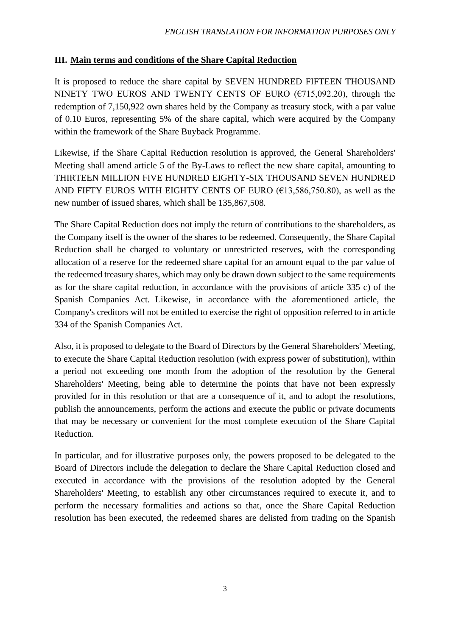## **III. Main terms and conditions of the Share Capital Reduction**

It is proposed to reduce the share capital by SEVEN HUNDRED FIFTEEN THOUSAND NINETY TWO EUROS AND TWENTY CENTS OF EURO ( $\epsilon$ 715,092.20), through the redemption of 7,150,922 own shares held by the Company as treasury stock, with a par value of 0.10 Euros, representing 5% of the share capital, which were acquired by the Company within the framework of the Share Buyback Programme.

Likewise, if the Share Capital Reduction resolution is approved, the General Shareholders' Meeting shall amend article 5 of the By-Laws to reflect the new share capital, amounting to THIRTEEN MILLION FIVE HUNDRED EIGHTY-SIX THOUSAND SEVEN HUNDRED AND FIFTY EUROS WITH EIGHTY CENTS OF EURO ( $\epsilon$ 13,586,750.80), as well as the new number of issued shares, which shall be 135,867,508*.*

The Share Capital Reduction does not imply the return of contributions to the shareholders, as the Company itself is the owner of the shares to be redeemed. Consequently, the Share Capital Reduction shall be charged to voluntary or unrestricted reserves, with the corresponding allocation of a reserve for the redeemed share capital for an amount equal to the par value of the redeemed treasury shares, which may only be drawn down subject to the same requirements as for the share capital reduction, in accordance with the provisions of article 335 c) of the Spanish Companies Act. Likewise, in accordance with the aforementioned article, the Company's creditors will not be entitled to exercise the right of opposition referred to in article 334 of the Spanish Companies Act.

Also, it is proposed to delegate to the Board of Directors by the General Shareholders' Meeting, to execute the Share Capital Reduction resolution (with express power of substitution), within a period not exceeding one month from the adoption of the resolution by the General Shareholders' Meeting, being able to determine the points that have not been expressly provided for in this resolution or that are a consequence of it, and to adopt the resolutions, publish the announcements, perform the actions and execute the public or private documents that may be necessary or convenient for the most complete execution of the Share Capital Reduction.

In particular, and for illustrative purposes only, the powers proposed to be delegated to the Board of Directors include the delegation to declare the Share Capital Reduction closed and executed in accordance with the provisions of the resolution adopted by the General Shareholders' Meeting, to establish any other circumstances required to execute it, and to perform the necessary formalities and actions so that, once the Share Capital Reduction resolution has been executed, the redeemed shares are delisted from trading on the Spanish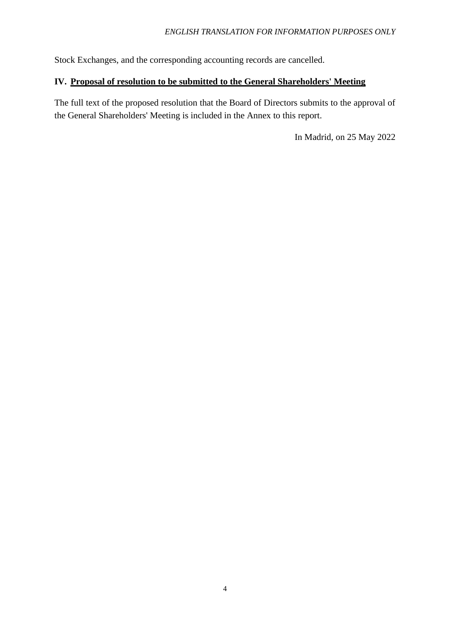Stock Exchanges, and the corresponding accounting records are cancelled.

## **IV. Proposal of resolution to be submitted to the General Shareholders' Meeting**

The full text of the proposed resolution that the Board of Directors submits to the approval of the General Shareholders' Meeting is included in the Annex to this report.

In Madrid, on 25 May 2022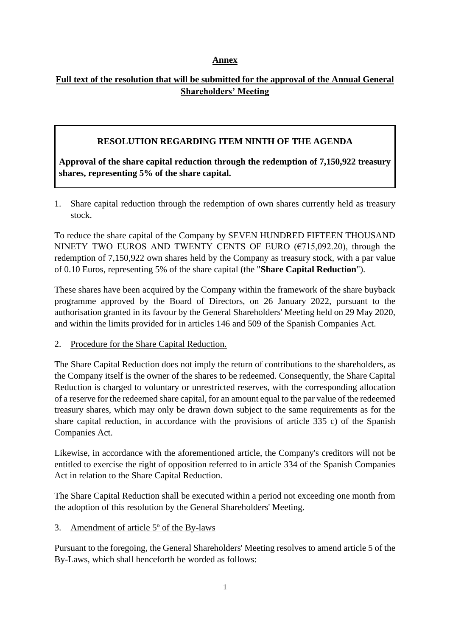## **Annex**

# **Full text of the resolution that will be submitted for the approval of the Annual General Shareholders' Meeting**

## **RESOLUTION REGARDING ITEM NINTH OF THE AGENDA**

**Approval of the share capital reduction through the redemption of 7,150,922 treasury shares, representing 5% of the share capital.**

1. Share capital reduction through the redemption of own shares currently held as treasury stock.

To reduce the share capital of the Company by SEVEN HUNDRED FIFTEEN THOUSAND NINETY TWO EUROS AND TWENTY CENTS OF EURO ( $\epsilon$ 715,092.20), through the redemption of 7,150,922 own shares held by the Company as treasury stock, with a par value of 0.10 Euros, representing 5% of the share capital (the "**Share Capital Reduction**").

These shares have been acquired by the Company within the framework of the share buyback programme approved by the Board of Directors, on 26 January 2022, pursuant to the authorisation granted in its favour by the General Shareholders' Meeting held on 29 May 2020, and within the limits provided for in articles 146 and 509 of the Spanish Companies Act.

2. Procedure for the Share Capital Reduction.

The Share Capital Reduction does not imply the return of contributions to the shareholders, as the Company itself is the owner of the shares to be redeemed. Consequently, the Share Capital Reduction is charged to voluntary or unrestricted reserves, with the corresponding allocation of a reserve for the redeemed share capital, for an amount equal to the par value of the redeemed treasury shares, which may only be drawn down subject to the same requirements as for the share capital reduction, in accordance with the provisions of article 335 c) of the Spanish Companies Act.

Likewise, in accordance with the aforementioned article, the Company's creditors will not be entitled to exercise the right of opposition referred to in article 334 of the Spanish Companies Act in relation to the Share Capital Reduction.

The Share Capital Reduction shall be executed within a period not exceeding one month from the adoption of this resolution by the General Shareholders' Meeting.

3. Amendment of article 5º of the By-laws

Pursuant to the foregoing, the General Shareholders' Meeting resolves to amend article 5 of the By-Laws, which shall henceforth be worded as follows: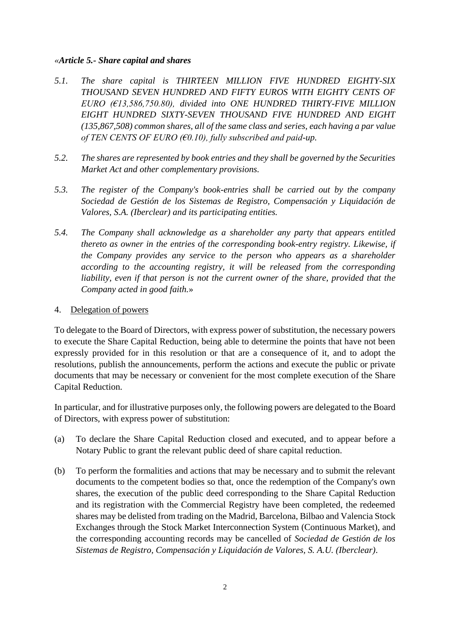### *«Article 5.- Share capital and shares*

- *5.1. The share capital is THIRTEEN MILLION FIVE HUNDRED EIGHTY-SIX THOUSAND SEVEN HUNDRED AND FIFTY EUROS WITH EIGHTY CENTS OF EURO (€13,586,750.80), divided into ONE HUNDRED THIRTY-FIVE MILLION EIGHT HUNDRED SIXTY-SEVEN THOUSAND FIVE HUNDRED AND EIGHT (135,867,508) common shares, all of the same class and series, each having a par value of TEN CENTS OF EURO (€0.10), fully subscribed and paid-up.*
- *5.2. The shares are represented by book entries and they shall be governed by the Securities Market Act and other complementary provisions.*
- *5.3. The register of the Company's book-entries shall be carried out by the company Sociedad de Gestión de los Sistemas de Registro, Compensación y Liquidación de Valores, S.A. (Iberclear) and its participating entities.*
- *5.4. The Company shall acknowledge as a shareholder any party that appears entitled thereto as owner in the entries of the corresponding book-entry registry. Likewise, if the Company provides any service to the person who appears as a shareholder according to the accounting registry, it will be released from the corresponding liability, even if that person is not the current owner of the share, provided that the Company acted in good faith.*»

### 4. Delegation of powers

To delegate to the Board of Directors, with express power of substitution, the necessary powers to execute the Share Capital Reduction, being able to determine the points that have not been expressly provided for in this resolution or that are a consequence of it, and to adopt the resolutions, publish the announcements, perform the actions and execute the public or private documents that may be necessary or convenient for the most complete execution of the Share Capital Reduction.

In particular, and for illustrative purposes only, the following powers are delegated to the Board of Directors, with express power of substitution:

- (a) To declare the Share Capital Reduction closed and executed, and to appear before a Notary Public to grant the relevant public deed of share capital reduction.
- (b) To perform the formalities and actions that may be necessary and to submit the relevant documents to the competent bodies so that, once the redemption of the Company's own shares, the execution of the public deed corresponding to the Share Capital Reduction and its registration with the Commercial Registry have been completed, the redeemed shares may be delisted from trading on the Madrid, Barcelona, Bilbao and Valencia Stock Exchanges through the Stock Market Interconnection System (Continuous Market), and the corresponding accounting records may be cancelled of *Sociedad de Gestión de los Sistemas de Registro, Compensación y Liquidación de Valores, S. A.U. (Iberclear)*.